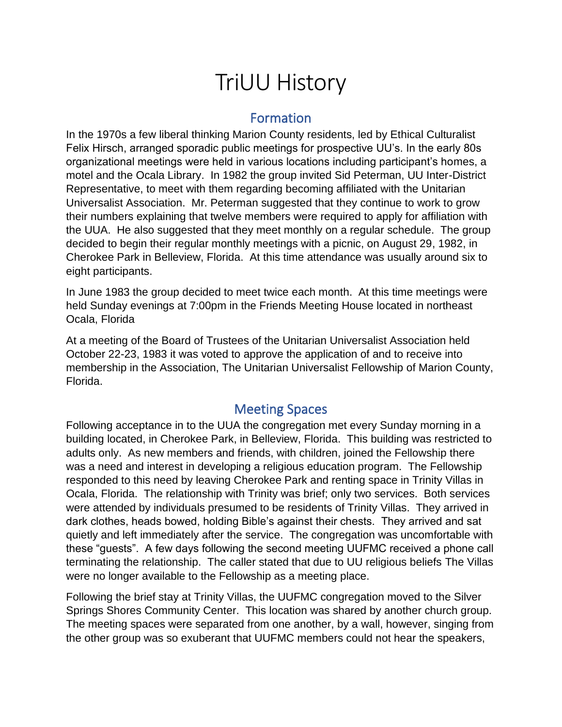# TriUU History

#### **Formation**

In the 1970s a few liberal thinking Marion County residents, led by Ethical Culturalist Felix Hirsch, arranged sporadic public meetings for prospective UU's. In the early 80s organizational meetings were held in various locations including participant's homes, a motel and the Ocala Library. In 1982 the group invited Sid Peterman, UU Inter-District Representative, to meet with them regarding becoming affiliated with the Unitarian Universalist Association. Mr. Peterman suggested that they continue to work to grow their numbers explaining that twelve members were required to apply for affiliation with the UUA. He also suggested that they meet monthly on a regular schedule. The group decided to begin their regular monthly meetings with a picnic, on August 29, 1982, in Cherokee Park in Belleview, Florida. At this time attendance was usually around six to eight participants.

In June 1983 the group decided to meet twice each month. At this time meetings were held Sunday evenings at 7:00pm in the Friends Meeting House located in northeast Ocala, Florida

At a meeting of the Board of Trustees of the Unitarian Universalist Association held October 22-23, 1983 it was voted to approve the application of and to receive into membership in the Association, The Unitarian Universalist Fellowship of Marion County, Florida.

#### Meeting Spaces

Following acceptance in to the UUA the congregation met every Sunday morning in a building located, in Cherokee Park, in Belleview, Florida. This building was restricted to adults only. As new members and friends, with children, joined the Fellowship there was a need and interest in developing a religious education program. The Fellowship responded to this need by leaving Cherokee Park and renting space in Trinity Villas in Ocala, Florida. The relationship with Trinity was brief; only two services. Both services were attended by individuals presumed to be residents of Trinity Villas. They arrived in dark clothes, heads bowed, holding Bible's against their chests. They arrived and sat quietly and left immediately after the service. The congregation was uncomfortable with these "guests". A few days following the second meeting UUFMC received a phone call terminating the relationship. The caller stated that due to UU religious beliefs The Villas were no longer available to the Fellowship as a meeting place.

Following the brief stay at Trinity Villas, the UUFMC congregation moved to the Silver Springs Shores Community Center. This location was shared by another church group. The meeting spaces were separated from one another, by a wall, however, singing from the other group was so exuberant that UUFMC members could not hear the speakers,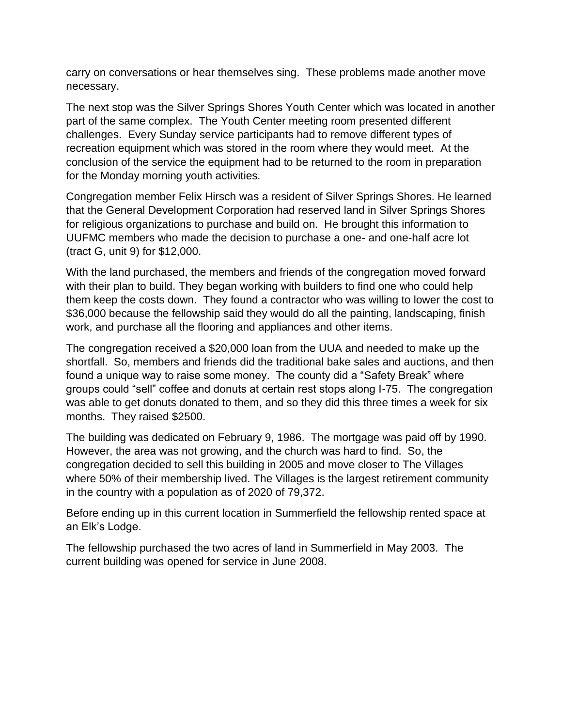carry on conversations or hear themselves sing. These problems made another move necessary.

The next stop was the Silver Springs Shores Youth Center which was located in another part of the same complex. The Youth Center meeting room presented different challenges. Every Sunday service participants had to remove different types of recreation equipment which was stored in the room where they would meet. At the conclusion of the service the equipment had to be returned to the room in preparation for the Monday morning youth activities*.*

Congregation member Felix Hirsch was a resident of Silver Springs Shores. He learned that the General Development Corporation had reserved land in Silver Springs Shores for religious organizations to purchase and build on. He brought this information to UUFMC members who made the decision to purchase a one- and one-half acre lot (tract G, unit 9) for \$12,000.

With the land purchased, the members and friends of the congregation moved forward with their plan to build. They began working with builders to find one who could help them keep the costs down. They found a contractor who was willing to lower the cost to \$36,000 because the fellowship said they would do all the painting, landscaping, finish work, and purchase all the flooring and appliances and other items.

The congregation received a \$20,000 loan from the UUA and needed to make up the shortfall. So, members and friends did the traditional bake sales and auctions, and then found a unique way to raise some money. The county did a "Safety Break" where groups could "sell" coffee and donuts at certain rest stops along I-75. The congregation was able to get donuts donated to them, and so they did this three times a week for six months. They raised \$2500.

The building was dedicated on February 9, 1986. The mortgage was paid off by 1990. However, the area was not growing, and the church was hard to find. So, the congregation decided to sell this building in 2005 and move closer to The Villages where 50% of their membership lived. The Villages is the largest retirement community in the country with a population as of 2020 of 79,372.

Before ending up in this current location in Summerfield the fellowship rented space at an Elk's Lodge.

The fellowship purchased the two acres of land in Summerfield in May 2003. The current building was opened for service in June 2008.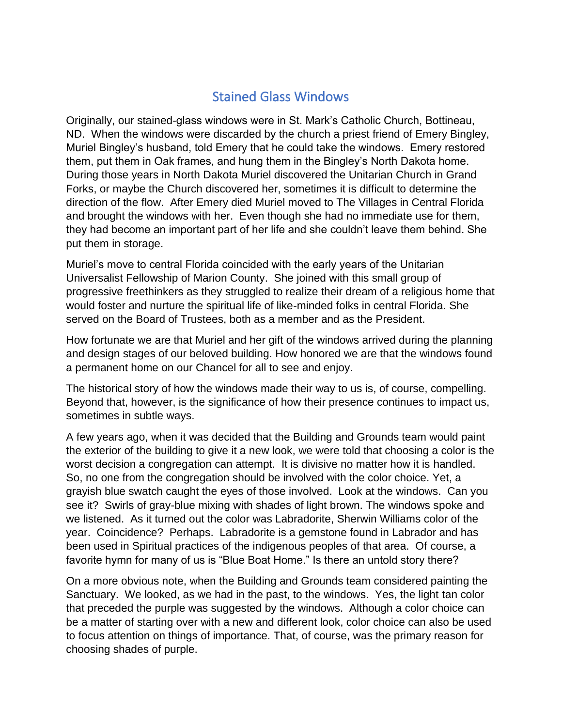## Stained Glass Windows

Originally, our stained-glass windows were in St. Mark's Catholic Church, Bottineau, ND. When the windows were discarded by the church a priest friend of Emery Bingley, Muriel Bingley's husband, told Emery that he could take the windows. Emery restored them, put them in Oak frames, and hung them in the Bingley's North Dakota home. During those years in North Dakota Muriel discovered the Unitarian Church in Grand Forks, or maybe the Church discovered her, sometimes it is difficult to determine the direction of the flow. After Emery died Muriel moved to The Villages in Central Florida and brought the windows with her. Even though she had no immediate use for them, they had become an important part of her life and she couldn't leave them behind. She put them in storage.

Muriel's move to central Florida coincided with the early years of the Unitarian Universalist Fellowship of Marion County. She joined with this small group of progressive freethinkers as they struggled to realize their dream of a religious home that would foster and nurture the spiritual life of like-minded folks in central Florida. She served on the Board of Trustees, both as a member and as the President.

How fortunate we are that Muriel and her gift of the windows arrived during the planning and design stages of our beloved building. How honored we are that the windows found a permanent home on our Chancel for all to see and enjoy.

The historical story of how the windows made their way to us is, of course, compelling. Beyond that, however, is the significance of how their presence continues to impact us, sometimes in subtle ways.

A few years ago, when it was decided that the Building and Grounds team would paint the exterior of the building to give it a new look, we were told that choosing a color is the worst decision a congregation can attempt. It is divisive no matter how it is handled. So, no one from the congregation should be involved with the color choice. Yet, a grayish blue swatch caught the eyes of those involved. Look at the windows. Can you see it? Swirls of gray-blue mixing with shades of light brown. The windows spoke and we listened. As it turned out the color was Labradorite, Sherwin Williams color of the year. Coincidence? Perhaps. Labradorite is a gemstone found in Labrador and has been used in Spiritual practices of the indigenous peoples of that area. Of course, a favorite hymn for many of us is "Blue Boat Home." Is there an untold story there?

On a more obvious note, when the Building and Grounds team considered painting the Sanctuary. We looked, as we had in the past, to the windows. Yes, the light tan color that preceded the purple was suggested by the windows. Although a color choice can be a matter of starting over with a new and different look, color choice can also be used to focus attention on things of importance. That, of course, was the primary reason for choosing shades of purple.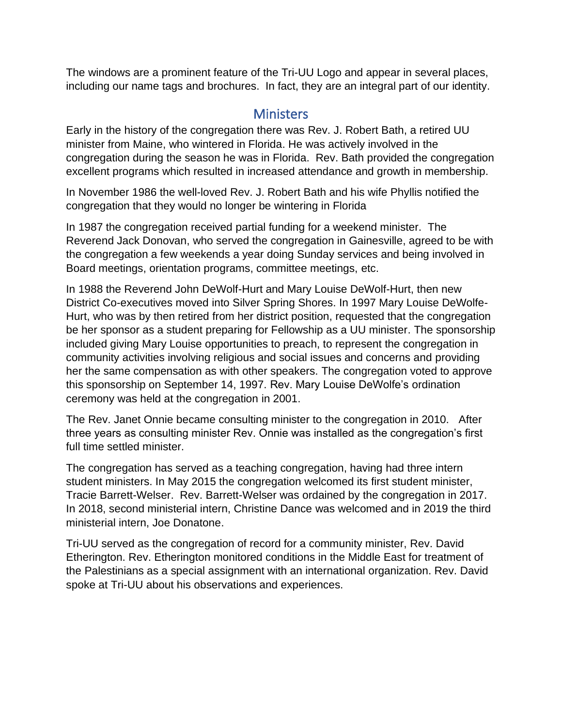The windows are a prominent feature of the Tri-UU Logo and appear in several places, including our name tags and brochures. In fact, they are an integral part of our identity.

#### **Ministers**

Early in the history of the congregation there was Rev. J. Robert Bath, a retired UU minister from Maine, who wintered in Florida. He was actively involved in the congregation during the season he was in Florida. Rev. Bath provided the congregation excellent programs which resulted in increased attendance and growth in membership.

In November 1986 the well-loved Rev. J. Robert Bath and his wife Phyllis notified the congregation that they would no longer be wintering in Florida

In 1987 the congregation received partial funding for a weekend minister. The Reverend Jack Donovan, who served the congregation in Gainesville, agreed to be with the congregation a few weekends a year doing Sunday services and being involved in Board meetings, orientation programs, committee meetings, etc.

In 1988 the Reverend John DeWolf-Hurt and Mary Louise DeWolf-Hurt, then new District Co-executives moved into Silver Spring Shores. In 1997 Mary Louise DeWolfe-Hurt, who was by then retired from her district position, requested that the congregation be her sponsor as a student preparing for Fellowship as a UU minister. The sponsorship included giving Mary Louise opportunities to preach, to represent the congregation in community activities involving religious and social issues and concerns and providing her the same compensation as with other speakers. The congregation voted to approve this sponsorship on September 14, 1997. Rev. Mary Louise DeWolfe's ordination ceremony was held at the congregation in 2001.

The Rev. Janet Onnie became consulting minister to the congregation in 2010. After three years as consulting minister Rev. Onnie was installed as the congregation's first full time settled minister.

The congregation has served as a teaching congregation, having had three intern student ministers. In May 2015 the congregation welcomed its first student minister, Tracie Barrett-Welser. Rev. Barrett-Welser was ordained by the congregation in 2017. In 2018, second ministerial intern, Christine Dance was welcomed and in 2019 the third ministerial intern, Joe Donatone.

Tri-UU served as the congregation of record for a community minister, Rev. David Etherington. Rev. Etherington monitored conditions in the Middle East for treatment of the Palestinians as a special assignment with an international organization. Rev. David spoke at Tri-UU about his observations and experiences.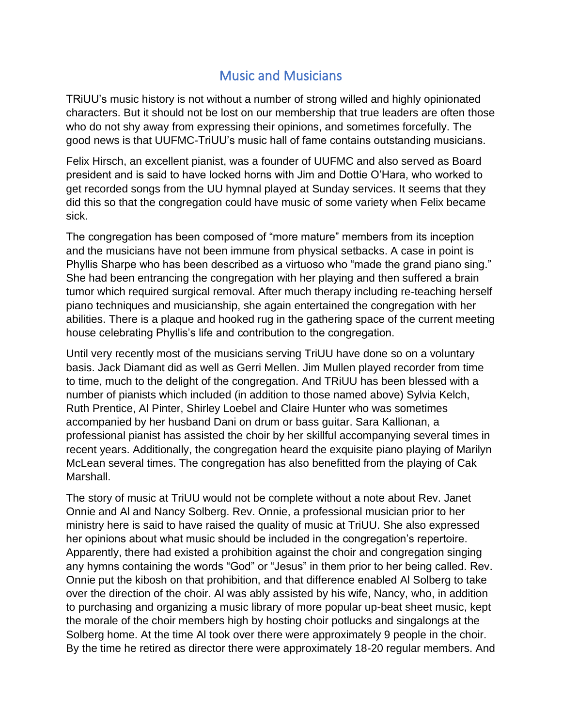## Music and Musicians

TRiUU's music history is not without a number of strong willed and highly opinionated characters. But it should not be lost on our membership that true leaders are often those who do not shy away from expressing their opinions, and sometimes forcefully. The good news is that UUFMC-TriUU's music hall of fame contains outstanding musicians.

Felix Hirsch, an excellent pianist, was a founder of UUFMC and also served as Board president and is said to have locked horns with Jim and Dottie O'Hara, who worked to get recorded songs from the UU hymnal played at Sunday services. It seems that they did this so that the congregation could have music of some variety when Felix became sick.

The congregation has been composed of "more mature" members from its inception and the musicians have not been immune from physical setbacks. A case in point is Phyllis Sharpe who has been described as a virtuoso who "made the grand piano sing." She had been entrancing the congregation with her playing and then suffered a brain tumor which required surgical removal. After much therapy including re-teaching herself piano techniques and musicianship, she again entertained the congregation with her abilities. There is a plaque and hooked rug in the gathering space of the current meeting house celebrating Phyllis's life and contribution to the congregation.

Until very recently most of the musicians serving TriUU have done so on a voluntary basis. Jack Diamant did as well as Gerri Mellen. Jim Mullen played recorder from time to time, much to the delight of the congregation. And TRiUU has been blessed with a number of pianists which included (in addition to those named above) Sylvia Kelch, Ruth Prentice, Al Pinter, Shirley Loebel and Claire Hunter who was sometimes accompanied by her husband Dani on drum or bass guitar. Sara Kallionan, a professional pianist has assisted the choir by her skillful accompanying several times in recent years. Additionally, the congregation heard the exquisite piano playing of Marilyn McLean several times. The congregation has also benefitted from the playing of Cak Marshall.

The story of music at TriUU would not be complete without a note about Rev. Janet Onnie and Al and Nancy Solberg. Rev. Onnie, a professional musician prior to her ministry here is said to have raised the quality of music at TriUU. She also expressed her opinions about what music should be included in the congregation's repertoire. Apparently, there had existed a prohibition against the choir and congregation singing any hymns containing the words "God" or "Jesus" in them prior to her being called. Rev. Onnie put the kibosh on that prohibition, and that difference enabled Al Solberg to take over the direction of the choir. Al was ably assisted by his wife, Nancy, who, in addition to purchasing and organizing a music library of more popular up-beat sheet music, kept the morale of the choir members high by hosting choir potlucks and singalongs at the Solberg home. At the time Al took over there were approximately 9 people in the choir. By the time he retired as director there were approximately 18-20 regular members. And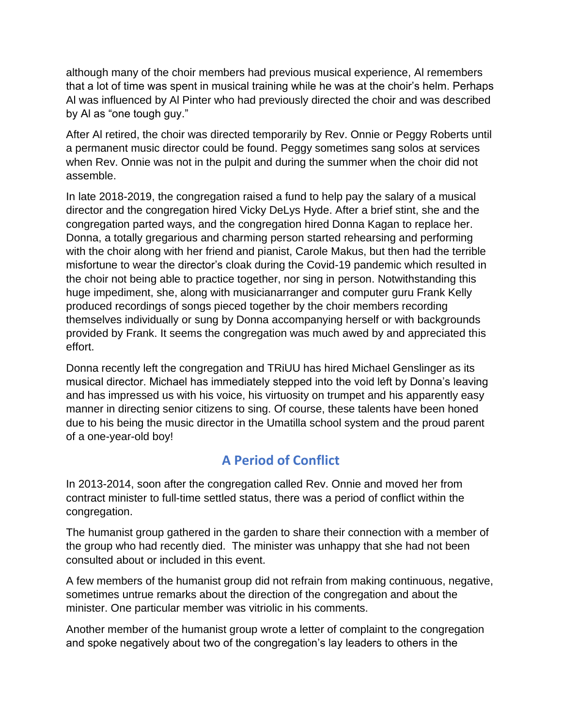although many of the choir members had previous musical experience, Al remembers that a lot of time was spent in musical training while he was at the choir's helm. Perhaps Al was influenced by Al Pinter who had previously directed the choir and was described by Al as "one tough guy."

After Al retired, the choir was directed temporarily by Rev. Onnie or Peggy Roberts until a permanent music director could be found. Peggy sometimes sang solos at services when Rev. Onnie was not in the pulpit and during the summer when the choir did not assemble.

In late 2018-2019, the congregation raised a fund to help pay the salary of a musical director and the congregation hired Vicky DeLys Hyde. After a brief stint, she and the congregation parted ways, and the congregation hired Donna Kagan to replace her. Donna, a totally gregarious and charming person started rehearsing and performing with the choir along with her friend and pianist, Carole Makus, but then had the terrible misfortune to wear the director's cloak during the Covid-19 pandemic which resulted in the choir not being able to practice together, nor sing in person. Notwithstanding this huge impediment, she, along with musicianarranger and computer guru Frank Kelly produced recordings of songs pieced together by the choir members recording themselves individually or sung by Donna accompanying herself or with backgrounds provided by Frank. It seems the congregation was much awed by and appreciated this effort.

Donna recently left the congregation and TRiUU has hired Michael Genslinger as its musical director. Michael has immediately stepped into the void left by Donna's leaving and has impressed us with his voice, his virtuosity on trumpet and his apparently easy manner in directing senior citizens to sing. Of course, these talents have been honed due to his being the music director in the Umatilla school system and the proud parent of a one-year-old boy!

# **A Period of Conflict**

In 2013-2014, soon after the congregation called Rev. Onnie and moved her from contract minister to full-time settled status, there was a period of conflict within the congregation.

The humanist group gathered in the garden to share their connection with a member of the group who had recently died. The minister was unhappy that she had not been consulted about or included in this event.

A few members of the humanist group did not refrain from making continuous, negative, sometimes untrue remarks about the direction of the congregation and about the minister. One particular member was vitriolic in his comments.

Another member of the humanist group wrote a letter of complaint to the congregation and spoke negatively about two of the congregation's lay leaders to others in the